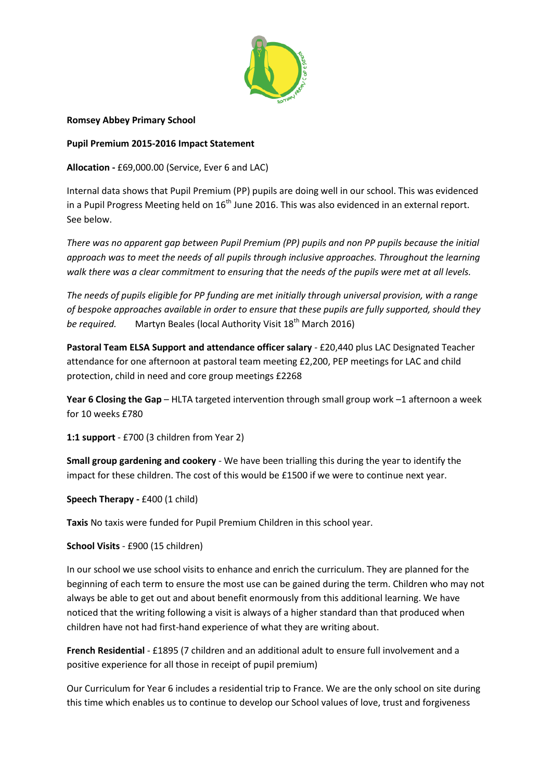

**Romsey Abbey Primary School**

**Pupil Premium 2015-2016 Impact Statement**

**Allocation -** £69,000.00 (Service, Ever 6 and LAC)

Internal data shows that Pupil Premium (PP) pupils are doing well in our school. This was evidenced in a Pupil Progress Meeting held on  $16<sup>th</sup>$  June 2016. This was also evidenced in an external report. See below.

*There was no apparent gap between Pupil Premium (PP) pupils and non PP pupils because the initial approach was to meet the needs of all pupils through inclusive approaches. Throughout the learning walk there was a clear commitment to ensuring that the needs of the pupils were met at all levels.*

*The needs of pupils eligible for PP funding are met initially through universal provision, with a range of bespoke approaches available in order to ensure that these pupils are fully supported, should they be required.* Martyn Beales (local Authority Visit 18<sup>th</sup> March 2016)

**Pastoral Team ELSA Support and attendance officer salary** - £20,440 plus LAC Designated Teacher attendance for one afternoon at pastoral team meeting £2,200, PEP meetings for LAC and child protection, child in need and core group meetings £2268

**Year 6 Closing the Gap** – HLTA targeted intervention through small group work –1 afternoon a week for 10 weeks £780

**1:1 support** - £700 (3 children from Year 2)

**Small group gardening and cookery** - We have been trialling this during the year to identify the impact for these children. The cost of this would be £1500 if we were to continue next year.

**Speech Therapy -** £400 (1 child)

**Taxis** No taxis were funded for Pupil Premium Children in this school year.

**School Visits** - £900 (15 children)

In our school we use school visits to enhance and enrich the curriculum. They are planned for the beginning of each term to ensure the most use can be gained during the term. Children who may not always be able to get out and about benefit enormously from this additional learning. We have noticed that the writing following a visit is always of a higher standard than that produced when children have not had first-hand experience of what they are writing about.

**French Residential** - £1895 (7 children and an additional adult to ensure full involvement and a positive experience for all those in receipt of pupil premium)

Our Curriculum for Year 6 includes a residential trip to France. We are the only school on site during this time which enables us to continue to develop our School values of love, trust and forgiveness